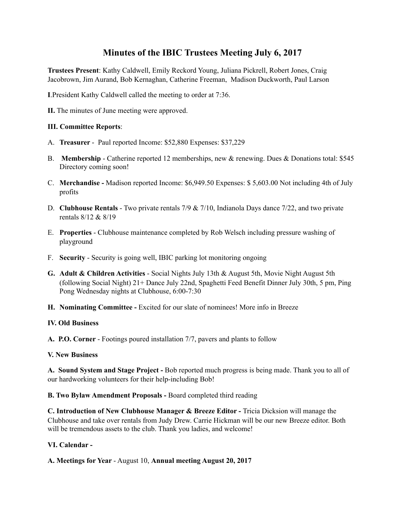# **Minutes of the IBIC Trustees Meeting July 6, 2017**

**Trustees Present**: Kathy Caldwell, Emily Reckord Young, Juliana Pickrell, Robert Jones, Craig Jacobrown, Jim Aurand, Bob Kernaghan, Catherine Freeman, Madison Duckworth, Paul Larson

**I**.President Kathy Caldwell called the meeting to order at 7:36.

**II.** The minutes of June meeting were approved.

#### **III. Committee Reports**:

- A. **Treasurer**  Paul reported Income: \$52,880 Expenses: \$37,229
- B. **Membership**  Catherine reported 12 memberships, new & renewing. Dues & Donations total: \$545 Directory coming soon!
- C. **Merchandise -** Madison reported Income: \$6,949.50 Expenses: \$ 5,603.00 Not including 4th of July profits
- D. **Clubhouse Rentals**  Two private rentals 7/9 & 7/10, Indianola Days dance 7/22, and two private rentals 8/12 & 8/19
- E. **Properties**  Clubhouse maintenance completed by Rob Welsch including pressure washing of playground
- F. **Security**  Security is going well, IBIC parking lot monitoring ongoing
- **G. Adult & Children Activities**  Social Nights July 13th & August 5th, Movie Night August 5th (following Social Night) 21+ Dance July 22nd, Spaghetti Feed Benefit Dinner July 30th, 5 pm, Ping Pong Wednesday nights at Clubhouse, 6:00-7:30
- **H. Nominating Committee** Excited for our slate of nominees! More info in Breeze

#### **IV. Old Business**

**A. P.O. Corner** - Footings poured installation 7/7, pavers and plants to follow

#### **V. New Business**

**A. Sound System and Stage Project -** Bob reported much progress is being made. Thank you to all of our hardworking volunteers for their help-including Bob!

**B. Two Bylaw Amendment Proposals -** Board completed third reading

**C. Introduction of New Clubhouse Manager & Breeze Editor -** Tricia Dicksion will manage the Clubhouse and take over rentals from Judy Drew. Carrie Hickman will be our new Breeze editor. Both will be tremendous assets to the club. Thank you ladies, and welcome!

### **VI. Calendar -**

**A. Meetings for Year** - August 10, **Annual meeting August 20, 2017**